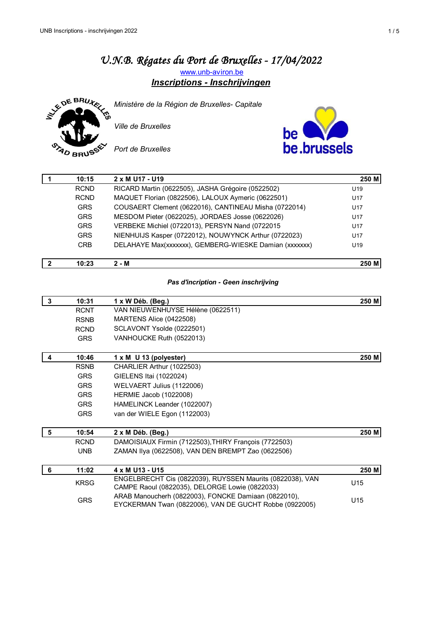# *U.N.B. Régates du Port de Bruxelles - 17/04/2022* [w](http://www.unb-aviron.be/)ww.unb-aviron.be





*Ministère de la Région de Bruxelles- Capitale*

*Ville de Bruxelles* 



*Port de Bruxelles*

| 10:15       | 2 x M U17 - U19                                        | 250 M           |
|-------------|--------------------------------------------------------|-----------------|
| <b>RCND</b> | RICARD Martin (0622505), JASHA Grégoire (0522502)      | U19             |
| <b>RCND</b> | MAQUET Florian (0822506), LALOUX Aymeric (0622501)     | U <sub>17</sub> |
| <b>GRS</b>  | COUSAERT Clement (0622016), CANTINEAU Misha (0722014)  | U <sub>17</sub> |
| <b>GRS</b>  | MESDOM Pieter (0622025), JORDAES Josse (0622026)       | U <sub>17</sub> |
| <b>GRS</b>  | VERBEKE Michiel (0722013), PERSYN Nand (0722015        | U <sub>17</sub> |
| <b>GRS</b>  | NIENHUIJS Kasper (0722012), NOUWYNCK Arthur (0722023)  | U <sub>17</sub> |
| <b>CRB</b>  | DELAHAYE Max(xxxxxxx), GEMBERG-WIESKE Damian (xxxxxxx) | U <sub>19</sub> |
|             |                                                        |                 |

### *Pas d'incription - Geen inschrijving*

**2 10:23 2 - M 250 M**

| 3 | 10:31       | 1 x W Déb. (Beg.)                                                                                              | 250 M           |
|---|-------------|----------------------------------------------------------------------------------------------------------------|-----------------|
|   | <b>RCNT</b> | VAN NIEUWENHUYSE Hélène (0622511)                                                                              |                 |
|   | <b>RSNB</b> | MARTENS Alice (0422508)                                                                                        |                 |
|   | <b>RCND</b> | SCLAVONT Ysolde (0222501)                                                                                      |                 |
|   | <b>GRS</b>  | VANHOUCKE Ruth (0522013)                                                                                       |                 |
| 4 | 10:46       | 1 x M U 13 (polyester)                                                                                         | 250 M           |
|   | <b>RSNB</b> | CHARLIER Arthur (1022503)                                                                                      |                 |
|   | <b>GRS</b>  | GIELENS Itai (1022024)                                                                                         |                 |
|   | <b>GRS</b>  | WELVAERT Julius (1122006)                                                                                      |                 |
|   | <b>GRS</b>  | <b>HERMIE Jacob (1022008)</b>                                                                                  |                 |
|   | <b>GRS</b>  | HAMELINCK Leander (1022007)                                                                                    |                 |
|   | <b>GRS</b>  | van der WIELE Egon (1122003)                                                                                   |                 |
| 5 | 10:54       | $2 \times M$ Déb. (Beg.)                                                                                       | 250 M           |
|   | <b>RCND</b> | DAMOISIAUX Firmin (7122503), THIRY François (7722503)                                                          |                 |
|   | <b>UNB</b>  | ZAMAN IIya (0622508), VAN DEN BREMPT Zao (0622506)                                                             |                 |
|   |             |                                                                                                                |                 |
| 6 | 11:02       | 4 x M U <sub>13</sub> - U <sub>15</sub>                                                                        | 250 M           |
|   | <b>KRSG</b> | ENGELBRECHT Cis (0822039), RUYSSEN Maurits (0822038), VAN<br>CAMPE Raoul (0822035), DELORGE Lowie (0822033)    | U <sub>15</sub> |
|   | <b>GRS</b>  | ARAB Manoucherh (0822003), FONCKE Damiaan (0822010),<br>EYCKERMAN Twan (0822006), VAN DE GUCHT Robbe (0922005) | U <sub>15</sub> |
|   |             |                                                                                                                |                 |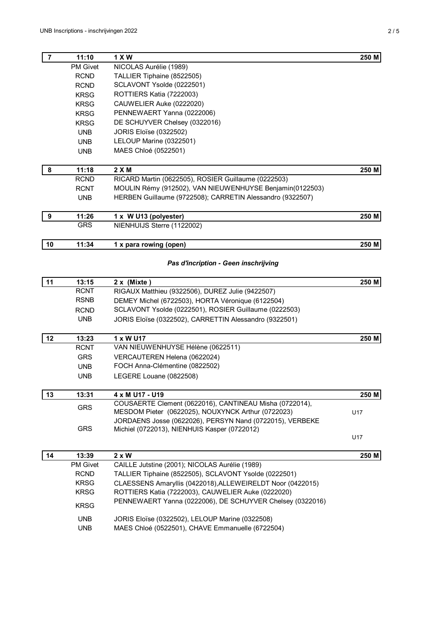| $\overline{7}$   | 11:10           | 1 X W                                                      | 250 M |
|------------------|-----------------|------------------------------------------------------------|-------|
|                  | <b>PM Givet</b> | NICOLAS Aurélie (1989)                                     |       |
|                  | <b>RCND</b>     | TALLIER Tiphaine (8522505)                                 |       |
|                  | <b>RCND</b>     | SCLAVONT Ysolde (0222501)                                  |       |
|                  | <b>KRSG</b>     | ROTTIERS Katia (7222003)                                   |       |
|                  | <b>KRSG</b>     | CAUWELIER Auke (0222020)                                   |       |
|                  | <b>KRSG</b>     | PENNEWAERT Yanna (0222006)                                 |       |
|                  | <b>KRSG</b>     | DE SCHUYVER Chelsey (0322016)                              |       |
|                  | <b>UNB</b>      | JORIS Eloïse (0322502)                                     |       |
|                  | <b>UNB</b>      | LELOUP Marine (0322501)                                    |       |
|                  | <b>UNB</b>      | MAES Chloé (0522501)                                       |       |
| 8                | 11:18           | 2XM                                                        | 250 M |
|                  | <b>RCND</b>     | RICARD Martin (0622505), ROSIER Guillaume (0222503)        |       |
|                  | <b>RCNT</b>     | MOULIN Rémy (912502), VAN NIEUWENHUYSE Benjamin(0122503)   |       |
|                  | <b>UNB</b>      | HERBEN Guillaume (9722508); CARRETIN Alessandro (9322507)  |       |
| $\boldsymbol{9}$ | 11:26           | 1 x W U13 (polyester)                                      | 250 M |
|                  | <b>GRS</b>      | NIENHUIJS Sterre (1122002)                                 |       |
| 10               | 11:34           | 1 x para rowing (open)                                     | 250 M |
|                  |                 | Pas d'incription - Geen inschrijving                       |       |
|                  |                 |                                                            |       |
| 11               | 13:15           | 2 x (Mixte)                                                | 250 M |
|                  | <b>RCNT</b>     | RIGAUX Matthieu (9322506), DUREZ Julie (9422507)           |       |
|                  | <b>RSNB</b>     | DEMEY Michel (6722503), HORTA Véronique (6122504)          |       |
|                  | <b>RCND</b>     | SCLAVONT Ysolde (0222501), ROSIER Guillaume (0222503)      |       |
|                  | <b>UNB</b>      | JORIS Eloïse (0322502), CARRETTIN Alessandro (9322501)     |       |
| 12               | 13:23           | 1 x W U17                                                  | 250 M |
|                  | <b>RCNT</b>     | VAN NIEUWENHUYSE Hélène (0622511)                          |       |
|                  | <b>GRS</b>      | VERCAUTEREN Helena (0622024)                               |       |
|                  | <b>UNB</b>      | FOCH Anna-Clémentine (0822502)                             |       |
|                  | <b>UNB</b>      | LEGERE Louane (0822508)                                    |       |
| 13               | 13:31           | 4 x M U17 - U19                                            | 250 M |
|                  | <b>GRS</b>      | COUSAERTE Clement (0622016), CANTINEAU Misha (0722014),    |       |
|                  |                 | MESDOM Pieter (0622025), NOUXYNCK Arthur (0722023)         | U17   |
|                  |                 | JORDAENS Josse (0622026), PERSYN Nand (0722015), VERBEKE   |       |
|                  | <b>GRS</b>      | Michiel (0722013), NIENHUIS Kasper (0722012)               | U17   |
|                  |                 |                                                            |       |
| 14               | 13:39           | 2 x W                                                      | 250 M |
|                  | PM Givet        | CAILLE Jutstine (2001); NICOLAS Aurélie (1989)             |       |
|                  | <b>RCND</b>     | TALLIER Tiphaine (8522505), SCLAVONT Ysolde (0222501)      |       |
|                  | <b>KRSG</b>     | CLAESSENS Amaryllis (0422018), ALLEWEIRELDT Noor (0422015) |       |
|                  | <b>KRSG</b>     | ROTTIERS Katia (7222003), CAUWELIER Auke (0222020)         |       |
|                  | <b>KRSG</b>     | PENNEWAERT Yanna (0222006), DE SCHUYVER Chelsey (0322016)  |       |
|                  | <b>UNB</b>      | JORIS Eloïse (0322502), LELOUP Marine (0322508)            |       |
|                  | <b>UNB</b>      | MAES Chloé (0522501), CHAVE Emmanuelle (6722504)           |       |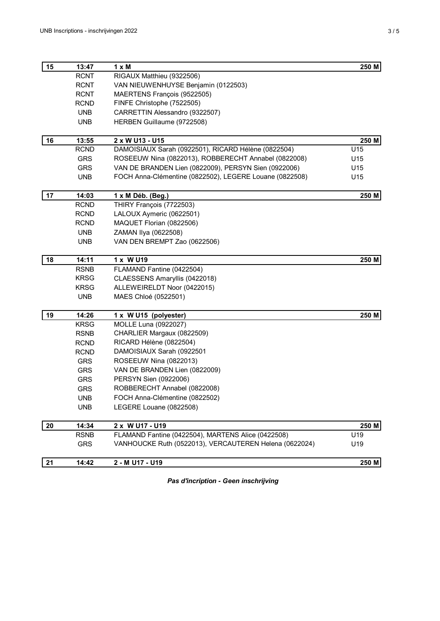| 15 | 13:47       | $1 \times M$                                            | 250 M |
|----|-------------|---------------------------------------------------------|-------|
|    | <b>RCNT</b> | RIGAUX Matthieu (9322506)                               |       |
|    | <b>RCNT</b> | VAN NIEUWENHUYSE Benjamin (0122503)                     |       |
|    | <b>RCNT</b> | MAERTENS François (9522505)                             |       |
|    | <b>RCND</b> | FINFE Christophe (7522505)                              |       |
|    | <b>UNB</b>  | CARRETTIN Alessandro (9322507)                          |       |
|    | <b>UNB</b>  | HERBEN Guillaume (9722508)                              |       |
| 16 | 13:55       | 2 x W U13 - U15                                         | 250 M |
|    | <b>RCND</b> | DAMOISIAUX Sarah (0922501), RICARD Hélène (0822504)     | U15   |
|    | GRS         | ROSEEUW Nina (0822013), ROBBERECHT Annabel (0822008)    | U15   |
|    | <b>GRS</b>  | VAN DE BRANDEN Lien (0822009), PERSYN Sien (0922006)    | U15   |
|    | <b>UNB</b>  | FOCH Anna-Clémentine (0822502), LEGERE Louane (0822508) | U15   |
| 17 | 14:03       | 1 x M Déb. (Beg.)                                       | 250 M |
|    | <b>RCND</b> | THIRY François (7722503)                                |       |
|    | <b>RCND</b> | LALOUX Aymeric (0622501)                                |       |
|    | <b>RCND</b> | MAQUET Florian (0822506)                                |       |
|    | <b>UNB</b>  | ZAMAN IIya (0622508)                                    |       |
|    | <b>UNB</b>  | VAN DEN BREMPT Zao (0622506)                            |       |
| 18 | 14:11       | 1 x W U19                                               | 250 M |
|    | <b>RSNB</b> | FLAMAND Fantine (0422504)                               |       |
|    | <b>KRSG</b> | CLAESSENS Amaryllis (0422018)                           |       |
|    | <b>KRSG</b> | ALLEWEIRELDT Noor (0422015)                             |       |
|    | <b>UNB</b>  | MAES Chloé (0522501)                                    |       |
| 19 | 14:26       | 1 x W U15 (polyester)                                   | 250 M |
|    | <b>KRSG</b> | MOLLE Luna (0922027)                                    |       |
|    | <b>RSNB</b> | CHARLIER Margaux (0822509)                              |       |
|    | <b>RCND</b> | RICARD Hélène (0822504)                                 |       |
|    | <b>RCND</b> | DAMOISIAUX Sarah (0922501                               |       |
|    | <b>GRS</b>  | ROSEEUW Nina (0822013)                                  |       |
|    | <b>GRS</b>  | VAN DE BRANDEN Lien (0822009)                           |       |
|    | <b>GRS</b>  | PERSYN Sien (0922006)                                   |       |
|    | <b>GRS</b>  | ROBBERECHT Annabel (0822008)                            |       |
|    | <b>UNB</b>  | FOCH Anna-Clémentine (0822502)                          |       |
|    | <b>UNB</b>  | LEGERE Louane (0822508)                                 |       |
| 20 | 14:34       | 2 x W U17 - U19                                         | 250 M |
|    | <b>RSNB</b> | FLAMAND Fantine (0422504), MARTENS Alice (0422508)      | U19   |
|    | <b>GRS</b>  | VANHOUCKE Ruth (0522013), VERCAUTEREN Helena (0622024)  | U19   |
| 21 | 14:42       | 2 - M U17 - U19                                         | 250 M |
|    |             |                                                         |       |

*Pas d'incription - Geen inschrijving*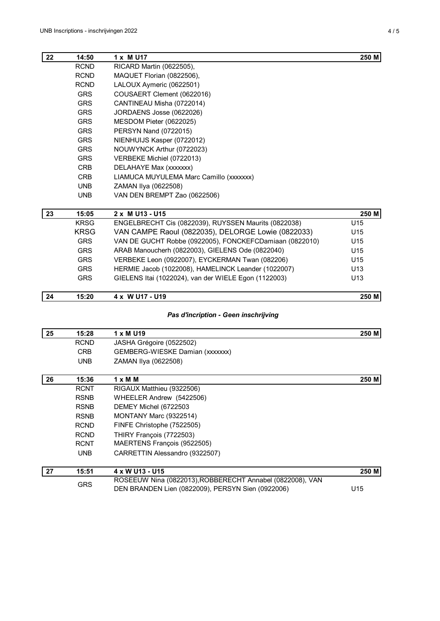| 22 | 14:50       | 1 x M U17                                               | 250 M           |
|----|-------------|---------------------------------------------------------|-----------------|
|    | <b>RCND</b> | RICARD Martin (0622505),                                |                 |
|    | <b>RCND</b> | MAQUET Florian (0822506),                               |                 |
|    | <b>RCND</b> | LALOUX Aymeric (0622501)                                |                 |
|    | <b>GRS</b>  | COUSAERT Clement (0622016)                              |                 |
|    | <b>GRS</b>  | CANTINEAU Misha (0722014)                               |                 |
|    | <b>GRS</b>  | JORDAENS Josse (0622026)                                |                 |
|    | <b>GRS</b>  | MESDOM Pieter (0622025)                                 |                 |
|    | <b>GRS</b>  | PERSYN Nand (0722015)                                   |                 |
|    | <b>GRS</b>  | NIENHUIJS Kasper (0722012)                              |                 |
|    | <b>GRS</b>  | NOUWYNCK Arthur (0722023)                               |                 |
|    | <b>GRS</b>  | VERBEKE Michiel (0722013)                               |                 |
|    | <b>CRB</b>  | DELAHAYE Max (xxxxxx)                                   |                 |
|    | <b>CRB</b>  | LIAMUCA MUYULEMA Marc Camillo (xxxxxx)                  |                 |
|    | <b>UNB</b>  | ZAMAN Ilya (0622508)                                    |                 |
|    | <b>UNB</b>  | VAN DEN BREMPT Zao (0622506)                            |                 |
| 23 | 15:05       | 2 x M U13 - U15                                         | 250 M           |
|    | <b>KRSG</b> | ENGELBRECHT Cis (0822039), RUYSSEN Maurits (0822038)    | U15             |
|    | <b>KRSG</b> | VAN CAMPE Raoul (0822035), DELORGE Lowie (0822033)      | U15             |
|    | <b>GRS</b>  | VAN DE GUCHT Robbe (0922005), FONCKEFCDamiaan (0822010) | U <sub>15</sub> |
|    | <b>GRS</b>  | ARAB Manoucherh (0822003), GIELENS Ode (0822040)        | U <sub>15</sub> |
|    | <b>GRS</b>  | VERBEKE Leon (0922007), EYCKERMAN Twan (082206)         | U15             |
|    | <b>GRS</b>  | HERMIE Jacob (1022008), HAMELINCK Leander (1022007)     | U <sub>13</sub> |
|    | <b>GRS</b>  | GIELENS Itai (1022024), van der WIELE Egon (1122003)    | U13             |
| 24 | 15:20       | 4 x W U17 - U19                                         | 250 M           |

### *Pas d'incription - Geen inschrijving*

| 25 | 15:28       | 1 x M U19                                                                                                      | 250 M |
|----|-------------|----------------------------------------------------------------------------------------------------------------|-------|
|    | <b>RCND</b> | JASHA Grégoire (0522502)                                                                                       |       |
|    | CRB         | GEMBERG-WIESKE Damian (xxxxxxx)                                                                                |       |
|    | <b>UNB</b>  | ZAMAN Ilya (0622508)                                                                                           |       |
| 26 | 15:36       | $1 \times M$ M                                                                                                 | 250 M |
|    | <b>RCNT</b> | RIGAUX Matthieu (9322506)                                                                                      |       |
|    | <b>RSNB</b> | WHEELER Andrew (5422506)                                                                                       |       |
|    | <b>RSNB</b> | DEMEY Michel (6722503)                                                                                         |       |
|    | <b>RSNB</b> | MONTANY Marc (9322514)                                                                                         |       |
|    | <b>RCND</b> | FINFE Christophe (7522505)                                                                                     |       |
|    | <b>RCND</b> | THIRY François (7722503)                                                                                       |       |
|    | <b>RCNT</b> | MAERTENS François (9522505)                                                                                    |       |
|    | <b>UNB</b>  | CARRETTIN Alessandro (9322507)                                                                                 |       |
| 27 | 15:51       | 4 x W U13 - U15                                                                                                | 250 M |
|    | <b>GRS</b>  | ROSEEUW Nina (0822013), ROBBERECHT Annabel (0822008), VAN<br>DEN BRANDEN Lien (0822009), PERSYN Sien (0922006) | U15   |